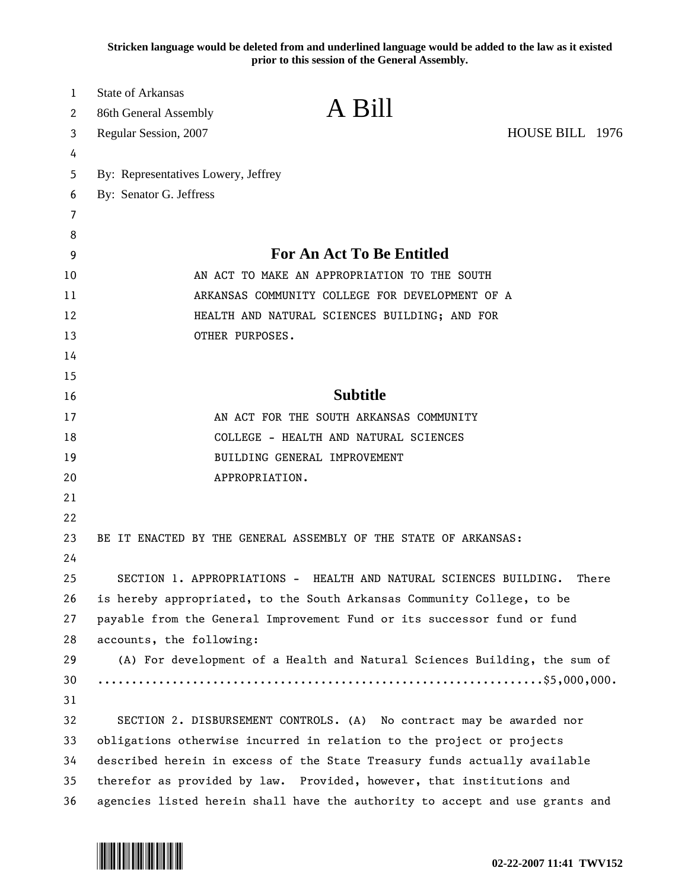**Stricken language would be deleted from and underlined language would be added to the law as it existed prior to this session of the General Assembly.**

| 1       | <b>State of Arkansas</b>                                                     | A Bill                                        |                 |  |
|---------|------------------------------------------------------------------------------|-----------------------------------------------|-----------------|--|
| 2       | 86th General Assembly                                                        |                                               |                 |  |
| 3       | Regular Session, 2007                                                        |                                               | HOUSE BILL 1976 |  |
| 4       |                                                                              |                                               |                 |  |
| 5       | By: Representatives Lowery, Jeffrey                                          |                                               |                 |  |
| 6       | By: Senator G. Jeffress                                                      |                                               |                 |  |
| 7       |                                                                              |                                               |                 |  |
| 8       |                                                                              | <b>For An Act To Be Entitled</b>              |                 |  |
| 9<br>10 | AN ACT TO MAKE AN APPROPRIATION TO THE SOUTH                                 |                                               |                 |  |
| 11      | ARKANSAS COMMUNITY COLLEGE FOR DEVELOPMENT OF A                              |                                               |                 |  |
| 12      |                                                                              | HEALTH AND NATURAL SCIENCES BUILDING; AND FOR |                 |  |
| 13      | OTHER PURPOSES.                                                              |                                               |                 |  |
| 14      |                                                                              |                                               |                 |  |
| 15      |                                                                              |                                               |                 |  |
| 16      | <b>Subtitle</b>                                                              |                                               |                 |  |
| 17      | AN ACT FOR THE SOUTH ARKANSAS COMMUNITY                                      |                                               |                 |  |
| 18      | COLLEGE - HEALTH AND NATURAL SCIENCES                                        |                                               |                 |  |
| 19      |                                                                              | BUILDING GENERAL IMPROVEMENT                  |                 |  |
| 20      | APPROPRIATION.                                                               |                                               |                 |  |
| 21      |                                                                              |                                               |                 |  |
| 22      |                                                                              |                                               |                 |  |
| 23      | BE IT ENACTED BY THE GENERAL ASSEMBLY OF THE STATE OF ARKANSAS:              |                                               |                 |  |
| 24      |                                                                              |                                               |                 |  |
| 25      | SECTION 1. APPROPRIATIONS - HEALTH AND NATURAL SCIENCES BUILDING.<br>There   |                                               |                 |  |
| 26      | is hereby appropriated, to the South Arkansas Community College, to be       |                                               |                 |  |
| 27      | payable from the General Improvement Fund or its successor fund or fund      |                                               |                 |  |
| 28      | accounts, the following:                                                     |                                               |                 |  |
| 29      | (A) For development of a Health and Natural Sciences Building, the sum of    |                                               |                 |  |
| 30      |                                                                              |                                               |                 |  |
| 31      |                                                                              |                                               |                 |  |
| 32      | SECTION 2. DISBURSEMENT CONTROLS. (A) No contract may be awarded nor         |                                               |                 |  |
| 33      | obligations otherwise incurred in relation to the project or projects        |                                               |                 |  |
| 34      | described herein in excess of the State Treasury funds actually available    |                                               |                 |  |
| 35      | therefor as provided by law. Provided, however, that institutions and        |                                               |                 |  |
| 36      | agencies listed herein shall have the authority to accept and use grants and |                                               |                 |  |